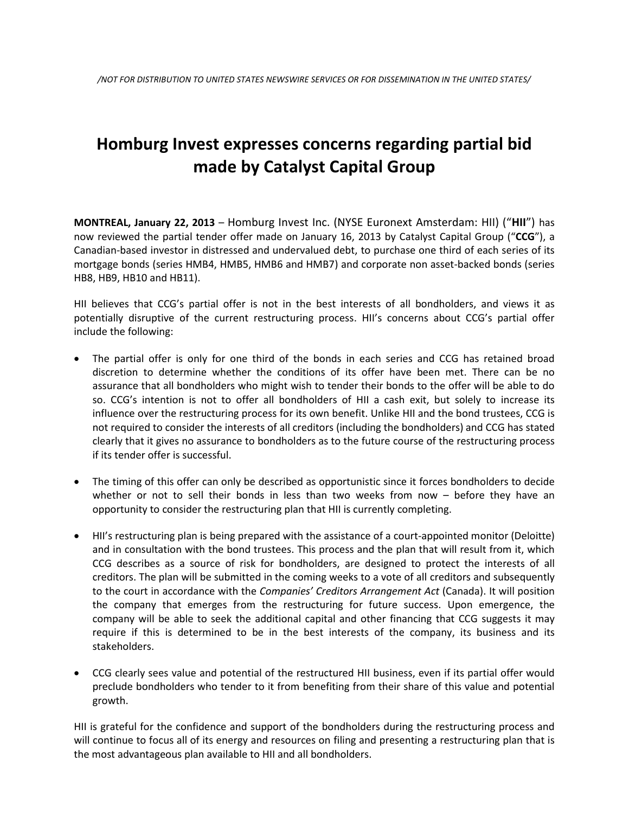# **Homburg Invest expresses concerns regarding partial bid made by Catalyst Capital Group**

**MONTREAL, January 22, 2013** – Homburg Invest Inc. (NYSE Euronext Amsterdam: HII) ("**HII**") has now reviewed the partial tender offer made on January 16, 2013 by Catalyst Capital Group ("**CCG**"), a Canadian-based investor in distressed and undervalued debt, to purchase one third of each series of its mortgage bonds (series HMB4, HMB5, HMB6 and HMB7) and corporate non asset-backed bonds (series HB8, HB9, HB10 and HB11).

HII believes that CCG's partial offer is not in the best interests of all bondholders, and views it as potentially disruptive of the current restructuring process. HII's concerns about CCG's partial offer include the following:

- The partial offer is only for one third of the bonds in each series and CCG has retained broad discretion to determine whether the conditions of its offer have been met. There can be no assurance that all bondholders who might wish to tender their bonds to the offer will be able to do so. CCG's intention is not to offer all bondholders of HII a cash exit, but solely to increase its influence over the restructuring process for its own benefit. Unlike HII and the bond trustees, CCG is not required to consider the interests of all creditors (including the bondholders) and CCG has stated clearly that it gives no assurance to bondholders as to the future course of the restructuring process if its tender offer is successful.
- The timing of this offer can only be described as opportunistic since it forces bondholders to decide whether or not to sell their bonds in less than two weeks from now – before they have an opportunity to consider the restructuring plan that HII is currently completing.
- HII's restructuring plan is being prepared with the assistance of a court-appointed monitor (Deloitte) and in consultation with the bond trustees. This process and the plan that will result from it, which CCG describes as a source of risk for bondholders, are designed to protect the interests of all creditors. The plan will be submitted in the coming weeks to a vote of all creditors and subsequently to the court in accordance with the *Companies' Creditors Arrangement Act* (Canada). It will position the company that emerges from the restructuring for future success. Upon emergence, the company will be able to seek the additional capital and other financing that CCG suggests it may require if this is determined to be in the best interests of the company, its business and its stakeholders.
- CCG clearly sees value and potential of the restructured HII business, even if its partial offer would preclude bondholders who tender to it from benefiting from their share of this value and potential growth.

HII is grateful for the confidence and support of the bondholders during the restructuring process and will continue to focus all of its energy and resources on filing and presenting a restructuring plan that is the most advantageous plan available to HII and all bondholders.